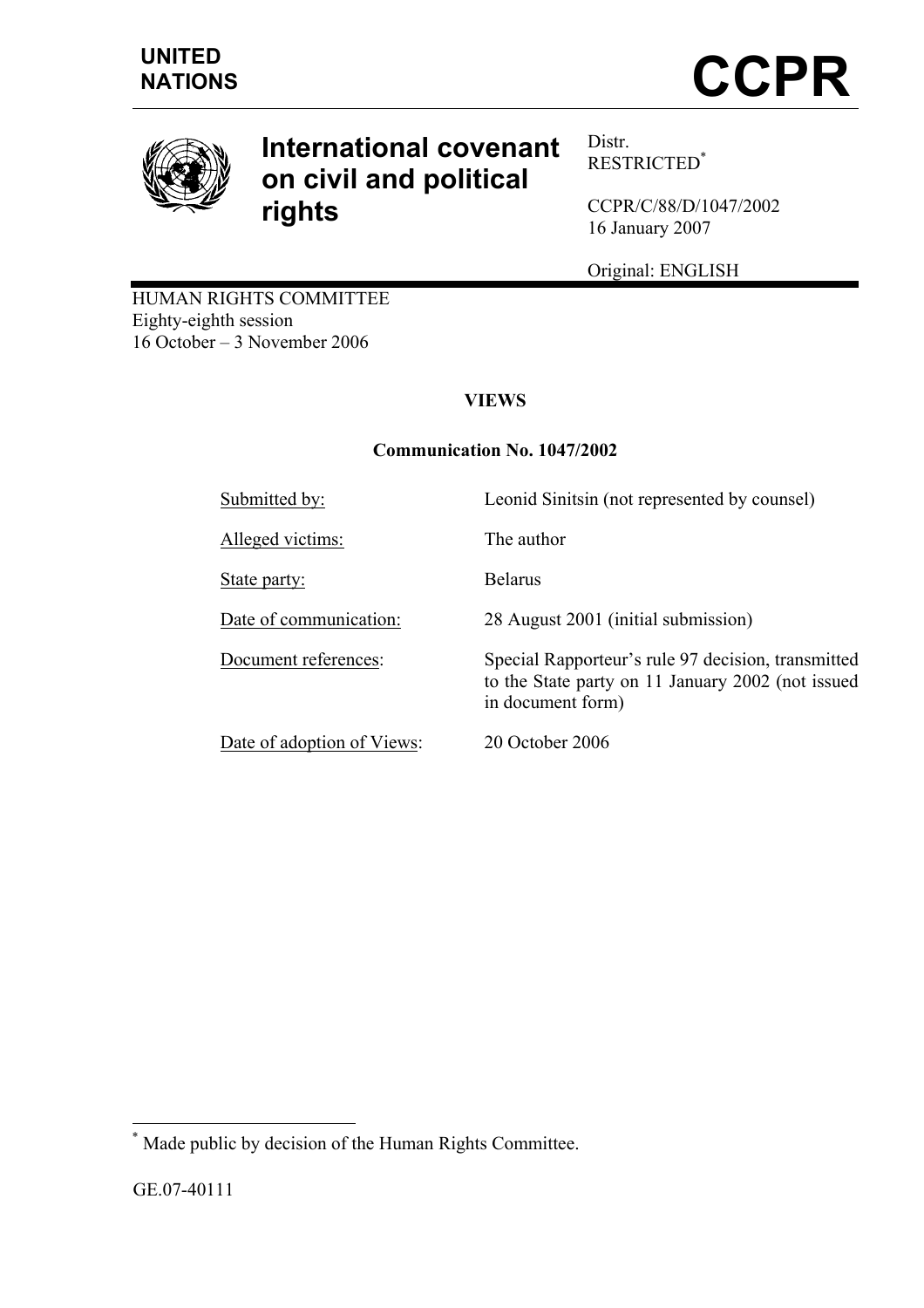

# **International covenant on civil and political rights**

Distr. RESTRICTED\*

CCPR/C/88/D/1047/2002 16 January 2007

Original: ENGLISH

HUMAN RIGHTS COMMITTEE Eighty-eighth session 16 October – 3 November 2006

# **VIEWS**

# **Communication No. 1047/2002**

| Submitted by:              | Leonid Sinitsin (not represented by counsel)                                                                                 |
|----------------------------|------------------------------------------------------------------------------------------------------------------------------|
| Alleged victims:           | The author                                                                                                                   |
| State party:               | <b>Belarus</b>                                                                                                               |
| Date of communication:     | 28 August 2001 (initial submission)                                                                                          |
| Document references:       | Special Rapporteur's rule 97 decision, transmitted<br>to the State party on 11 January 2002 (not issued<br>in document form) |
| Date of adoption of Views: | 20 October 2006                                                                                                              |

 \* Made public by decision of the Human Rights Committee.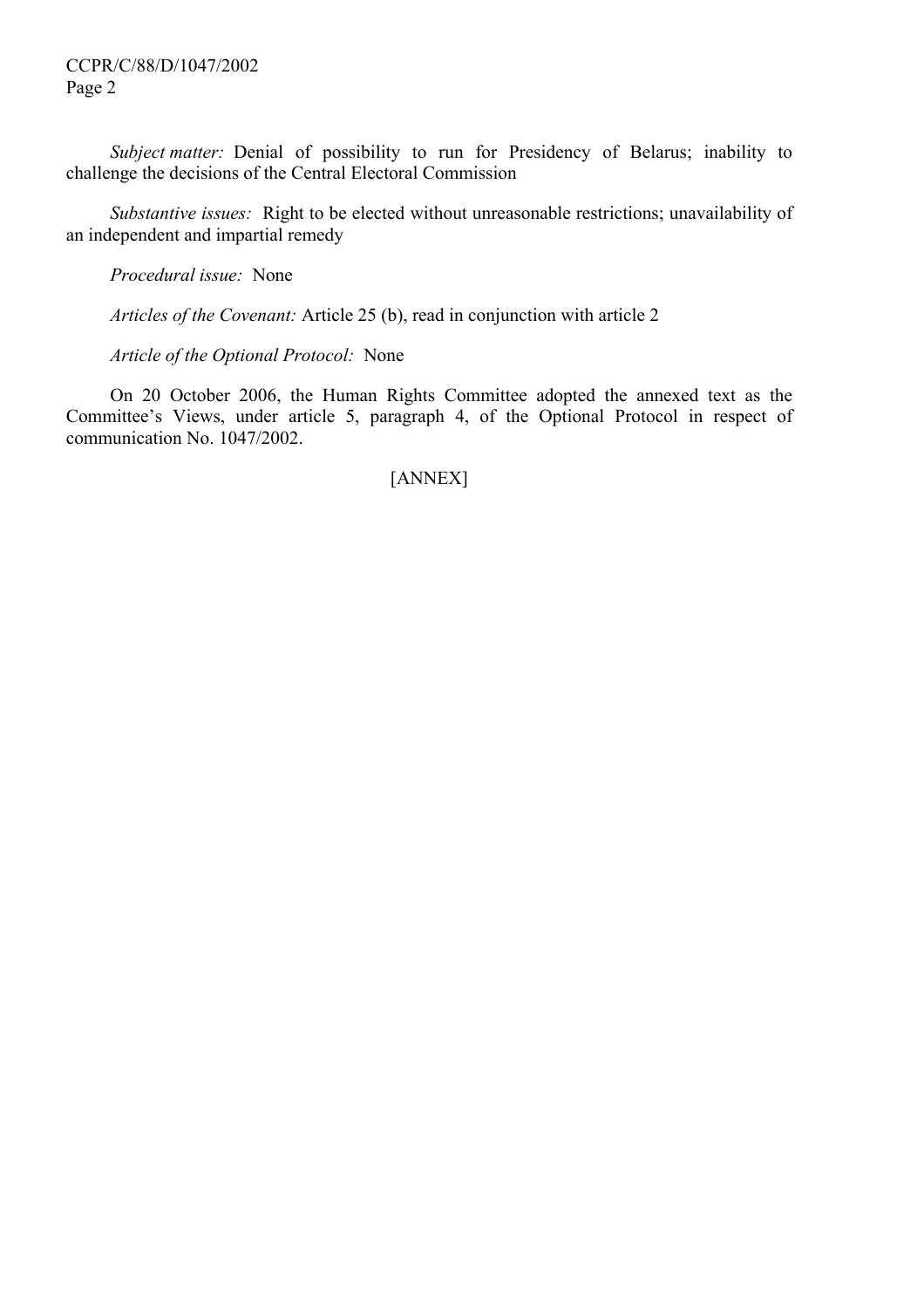*Subject matter:* Denial of possibility to run for Presidency of Belarus; inability to challenge the decisions of the Central Electoral Commission

 *Substantive issues:* Right to be elected without unreasonable restrictions; unavailability of an independent and impartial remedy

 *Procedural issue:* None

 *Articles of the Covenant:* Article 25 (b), read in conjunction with article 2

 *Article of the Optional Protocol:* None

 On 20 October 2006, the Human Rights Committee adopted the annexed text as the Committee's Views, under article 5, paragraph 4, of the Optional Protocol in respect of communication No. 1047/2002.

# [ANNEX]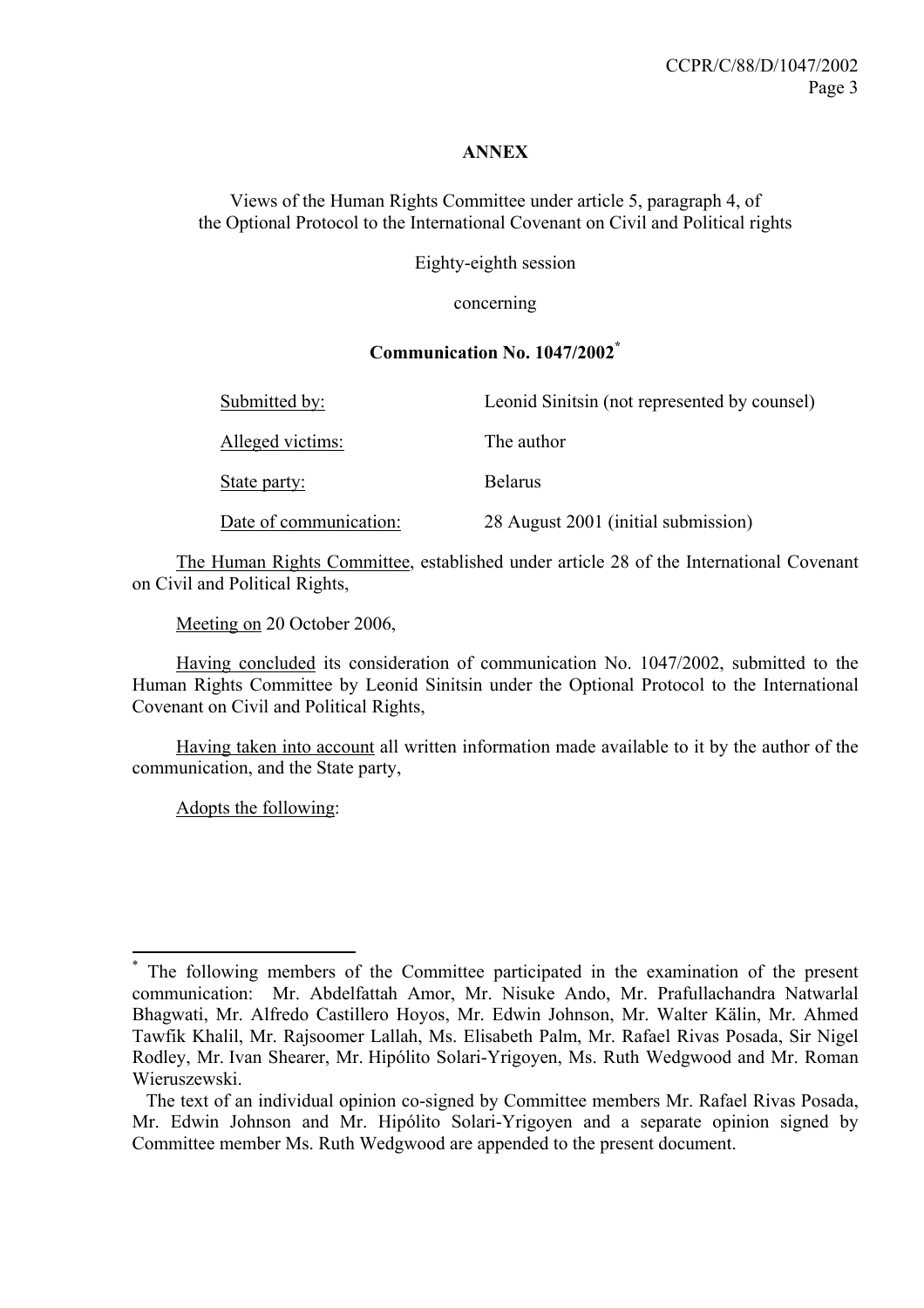#### **ANNEX**

Views of the Human Rights Committee under article 5, paragraph 4, of the Optional Protocol to the International Covenant on Civil and Political rights

Eighty-eighth session

concerning

## **Communication No. 1047/2002\***

| Submitted by:          | Leonid Sinitsin (not represented by counsel) |
|------------------------|----------------------------------------------|
| Alleged victims:       | The author                                   |
| State party:           | <b>Belarus</b>                               |
| Date of communication: | 28 August 2001 (initial submission)          |

 The Human Rights Committee, established under article 28 of the International Covenant on Civil and Political Rights,

Meeting on 20 October 2006,

 Having concluded its consideration of communication No. 1047/2002, submitted to the Human Rights Committee by Leonid Sinitsin under the Optional Protocol to the International Covenant on Civil and Political Rights,

 Having taken into account all written information made available to it by the author of the communication, and the State party,

Adopts the following:

 $\overline{a}$ 

<sup>\*</sup> The following members of the Committee participated in the examination of the present communication: Mr. Abdelfattah Amor, Mr. Nisuke Ando, Mr. Prafullachandra Natwarlal Bhagwati, Mr. Alfredo Castillero Hoyos, Mr. Edwin Johnson, Mr. Walter Kälin, Mr. Ahmed Tawfik Khalil, Mr. Rajsoomer Lallah, Ms. Elisabeth Palm, Mr. Rafael Rivas Posada, Sir Nigel Rodley, Mr. Ivan Shearer, Mr. Hipólito Solari-Yrigoyen, Ms. Ruth Wedgwood and Mr. Roman Wieruszewski.

The text of an individual opinion co-signed by Committee members Mr. Rafael Rivas Posada, Mr. Edwin Johnson and Mr. Hipólito Solari-Yrigoyen and a separate opinion signed by Committee member Ms. Ruth Wedgwood are appended to the present document.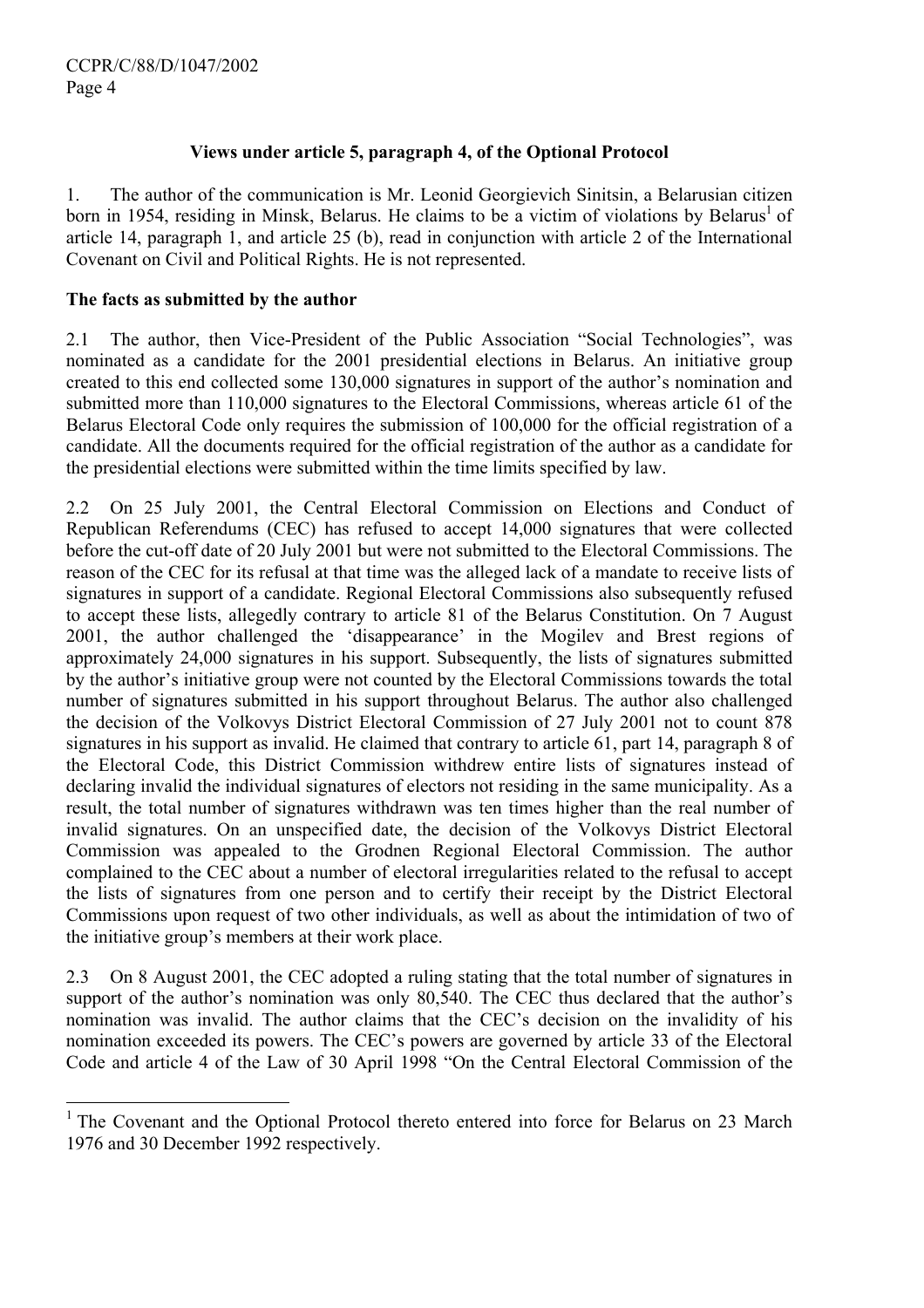$\overline{a}$ 

# **Views under article 5, paragraph 4, of the Optional Protocol**

1. The author of the communication is Mr. Leonid Georgievich Sinitsin, a Belarusian citizen born in 1954, residing in Minsk, Belarus. He claims to be a victim of violations by Belarus<sup>1</sup> of article 14, paragraph 1, and article 25 (b), read in conjunction with article 2 of the International Covenant on Civil and Political Rights. He is not represented.

## **The facts as submitted by the author**

2.1 The author, then Vice-President of the Public Association "Social Technologies", was nominated as a candidate for the 2001 presidential elections in Belarus. An initiative group created to this end collected some 130,000 signatures in support of the author's nomination and submitted more than 110,000 signatures to the Electoral Commissions, whereas article 61 of the Belarus Electoral Code only requires the submission of 100,000 for the official registration of a candidate. All the documents required for the official registration of the author as a candidate for the presidential elections were submitted within the time limits specified by law.

2.2 On 25 July 2001, the Central Electoral Commission on Elections and Conduct of Republican Referendums (CEC) has refused to accept 14,000 signatures that were collected before the cut-off date of 20 July 2001 but were not submitted to the Electoral Commissions. The reason of the CEC for its refusal at that time was the alleged lack of a mandate to receive lists of signatures in support of a candidate. Regional Electoral Commissions also subsequently refused to accept these lists, allegedly contrary to article 81 of the Belarus Constitution. On 7 August 2001, the author challenged the 'disappearance' in the Mogilev and Brest regions of approximately 24,000 signatures in his support. Subsequently, the lists of signatures submitted by the author's initiative group were not counted by the Electoral Commissions towards the total number of signatures submitted in his support throughout Belarus. The author also challenged the decision of the Volkovys District Electoral Commission of 27 July 2001 not to count 878 signatures in his support as invalid. He claimed that contrary to article 61, part 14, paragraph 8 of the Electoral Code, this District Commission withdrew entire lists of signatures instead of declaring invalid the individual signatures of electors not residing in the same municipality. As a result, the total number of signatures withdrawn was ten times higher than the real number of invalid signatures. On an unspecified date, the decision of the Volkovys District Electoral Commission was appealed to the Grodnen Regional Electoral Commission. The author complained to the CEC about a number of electoral irregularities related to the refusal to accept the lists of signatures from one person and to certify their receipt by the District Electoral Commissions upon request of two other individuals, as well as about the intimidation of two of the initiative group's members at their work place.

2.3 On 8 August 2001, the CEC adopted a ruling stating that the total number of signatures in support of the author's nomination was only 80,540. The CEC thus declared that the author's nomination was invalid. The author claims that the CEC's decision on the invalidity of his nomination exceeded its powers. The CEC's powers are governed by article 33 of the Electoral Code and article 4 of the Law of 30 April 1998 "On the Central Electoral Commission of the

<sup>&</sup>lt;sup>1</sup> The Covenant and the Optional Protocol thereto entered into force for Belarus on 23 March 1976 and 30 December 1992 respectively.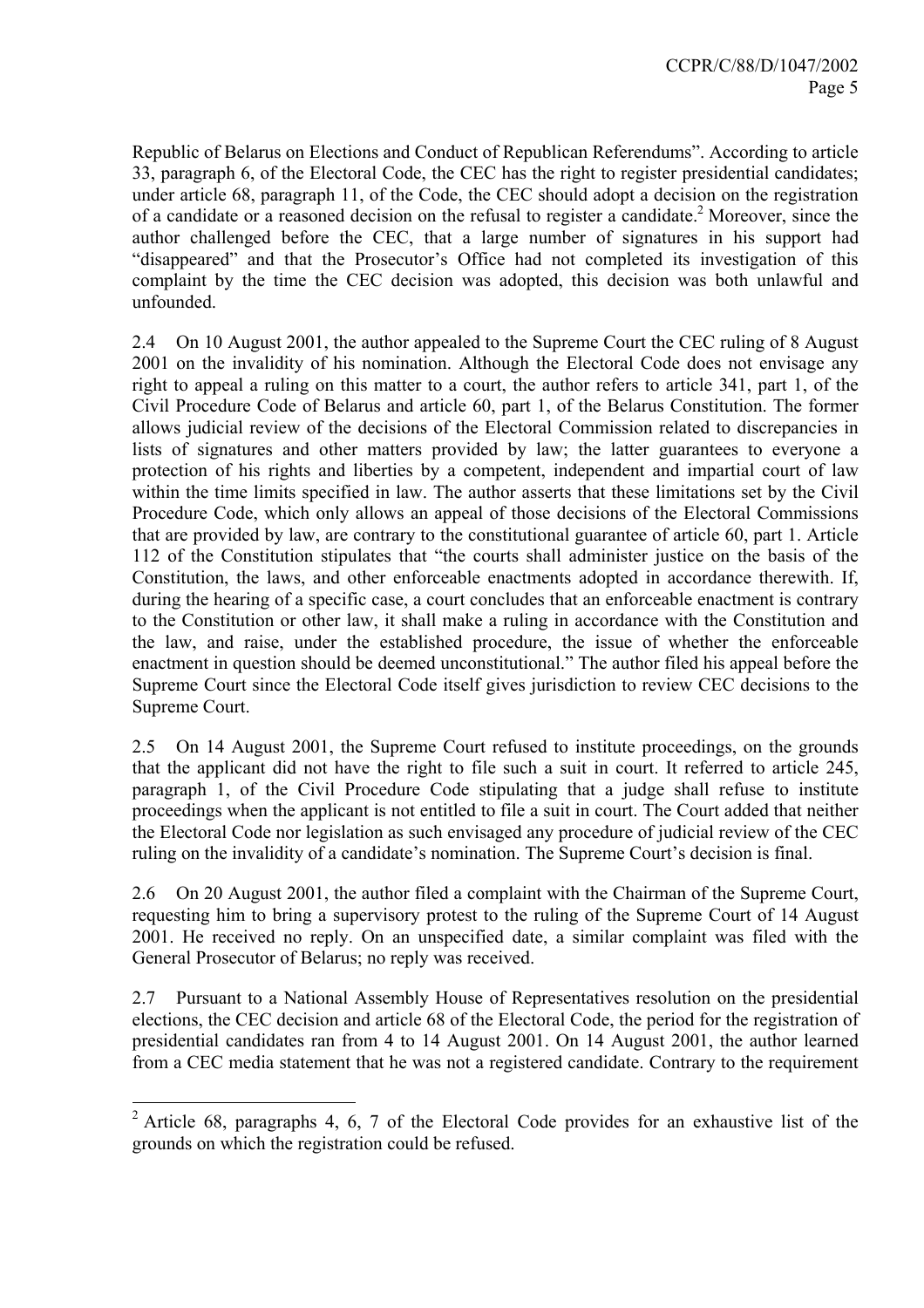Republic of Belarus on Elections and Conduct of Republican Referendums". According to article 33, paragraph 6, of the Electoral Code, the CEC has the right to register presidential candidates; under article 68, paragraph 11, of the Code, the CEC should adopt a decision on the registration of a candidate or a reasoned decision on the refusal to register a candidate.<sup>2</sup> Moreover, since the author challenged before the CEC, that a large number of signatures in his support had "disappeared" and that the Prosecutor's Office had not completed its investigation of this complaint by the time the CEC decision was adopted, this decision was both unlawful and unfounded.

2.4 On 10 August 2001, the author appealed to the Supreme Court the CEC ruling of 8 August 2001 on the invalidity of his nomination. Although the Electoral Code does not envisage any right to appeal a ruling on this matter to a court, the author refers to article 341, part 1, of the Civil Procedure Code of Belarus and article 60, part 1, of the Belarus Constitution. The former allows judicial review of the decisions of the Electoral Commission related to discrepancies in lists of signatures and other matters provided by law; the latter guarantees to everyone a protection of his rights and liberties by a competent, independent and impartial court of law within the time limits specified in law. The author asserts that these limitations set by the Civil Procedure Code, which only allows an appeal of those decisions of the Electoral Commissions that are provided by law, are contrary to the constitutional guarantee of article 60, part 1. Article 112 of the Constitution stipulates that "the courts shall administer justice on the basis of the Constitution, the laws, and other enforceable enactments adopted in accordance therewith. If, during the hearing of a specific case, a court concludes that an enforceable enactment is contrary to the Constitution or other law, it shall make a ruling in accordance with the Constitution and the law, and raise, under the established procedure, the issue of whether the enforceable enactment in question should be deemed unconstitutional." The author filed his appeal before the Supreme Court since the Electoral Code itself gives jurisdiction to review CEC decisions to the Supreme Court.

2.5 On 14 August 2001, the Supreme Court refused to institute proceedings, on the grounds that the applicant did not have the right to file such a suit in court. It referred to article 245, paragraph 1, of the Civil Procedure Code stipulating that a judge shall refuse to institute proceedings when the applicant is not entitled to file a suit in court. The Court added that neither the Electoral Code nor legislation as such envisaged any procedure of judicial review of the CEC ruling on the invalidity of a candidate's nomination. The Supreme Court's decision is final.

2.6 On 20 August 2001, the author filed a complaint with the Chairman of the Supreme Court, requesting him to bring a supervisory protest to the ruling of the Supreme Court of 14 August 2001. He received no reply. On an unspecified date, a similar complaint was filed with the General Prosecutor of Belarus; no reply was received.

2.7 Pursuant to a National Assembly House of Representatives resolution on the presidential elections, the CEC decision and article 68 of the Electoral Code, the period for the registration of presidential candidates ran from 4 to 14 August 2001. On 14 August 2001, the author learned from a CEC media statement that he was not a registered candidate. Contrary to the requirement

<sup>&</sup>lt;sup>2</sup> Article 68, paragraphs 4, 6, 7 of the Electoral Code provides for an exhaustive list of the grounds on which the registration could be refused.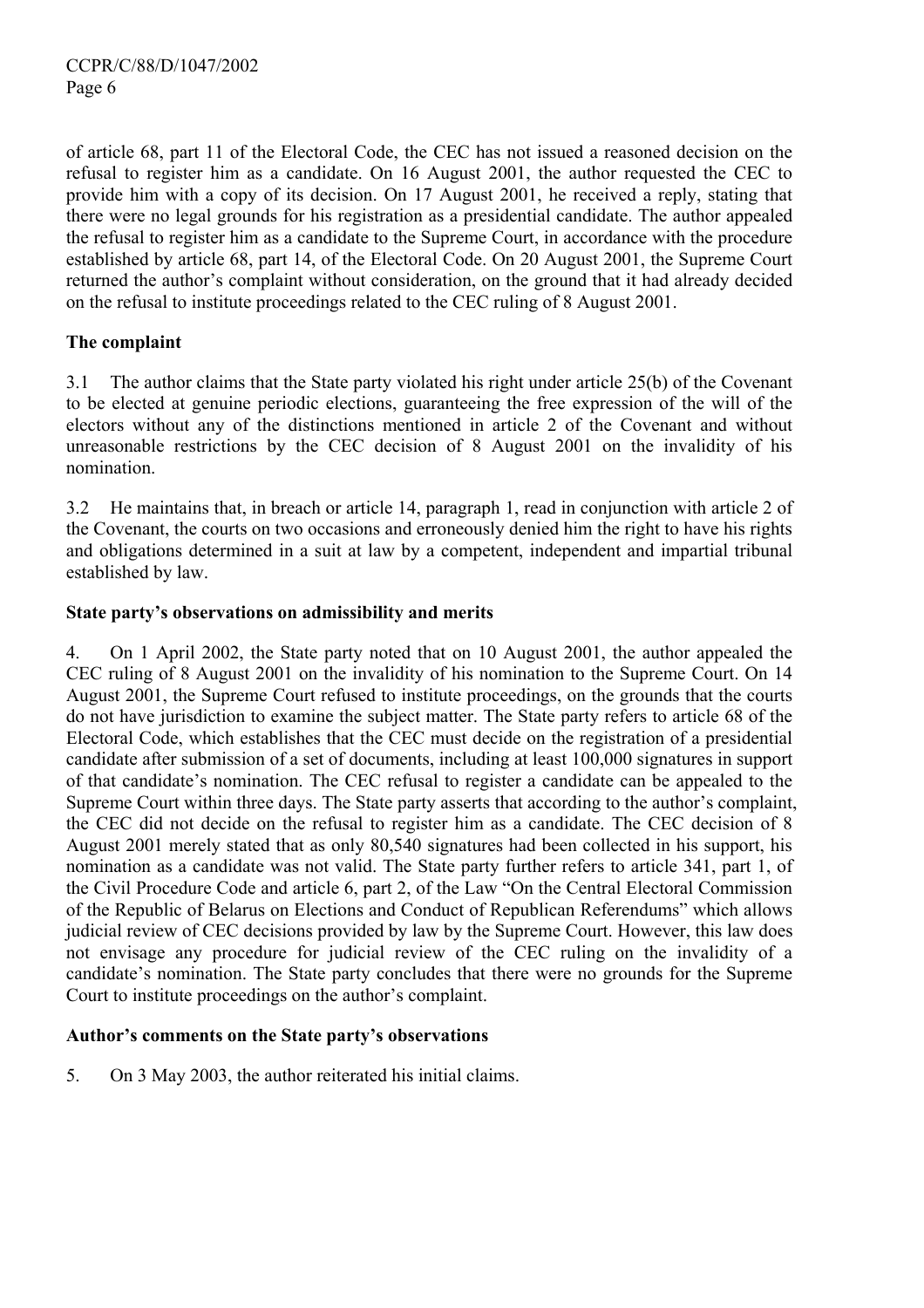of article 68, part 11 of the Electoral Code, the CEC has not issued a reasoned decision on the refusal to register him as a candidate. On 16 August 2001, the author requested the CEC to provide him with a copy of its decision. On 17 August 2001, he received a reply, stating that there were no legal grounds for his registration as a presidential candidate. The author appealed the refusal to register him as a candidate to the Supreme Court, in accordance with the procedure established by article 68, part 14, of the Electoral Code. On 20 August 2001, the Supreme Court returned the author's complaint without consideration, on the ground that it had already decided on the refusal to institute proceedings related to the CEC ruling of 8 August 2001.

# **The complaint**

3.1 The author claims that the State party violated his right under article 25(b) of the Covenant to be elected at genuine periodic elections, guaranteeing the free expression of the will of the electors without any of the distinctions mentioned in article 2 of the Covenant and without unreasonable restrictions by the CEC decision of 8 August 2001 on the invalidity of his nomination.

3.2 He maintains that, in breach or article 14, paragraph 1, read in conjunction with article 2 of the Covenant, the courts on two occasions and erroneously denied him the right to have his rights and obligations determined in a suit at law by a competent, independent and impartial tribunal established by law.

# **State party's observations on admissibility and merits**

4. On 1 April 2002, the State party noted that on 10 August 2001, the author appealed the CEC ruling of 8 August 2001 on the invalidity of his nomination to the Supreme Court. On 14 August 2001, the Supreme Court refused to institute proceedings, on the grounds that the courts do not have jurisdiction to examine the subject matter. The State party refers to article 68 of the Electoral Code, which establishes that the CEC must decide on the registration of a presidential candidate after submission of a set of documents, including at least 100,000 signatures in support of that candidate's nomination. The CEC refusal to register a candidate can be appealed to the Supreme Court within three days. The State party asserts that according to the author's complaint, the CEC did not decide on the refusal to register him as a candidate. The CEC decision of 8 August 2001 merely stated that as only 80,540 signatures had been collected in his support, his nomination as a candidate was not valid. The State party further refers to article 341, part 1, of the Civil Procedure Code and article 6, part 2, of the Law "On the Central Electoral Commission of the Republic of Belarus on Elections and Conduct of Republican Referendums" which allows judicial review of CEC decisions provided by law by the Supreme Court. However, this law does not envisage any procedure for judicial review of the CEC ruling on the invalidity of a candidate's nomination. The State party concludes that there were no grounds for the Supreme Court to institute proceedings on the author's complaint.

# **Author's comments on the State party's observations**

5. On 3 May 2003, the author reiterated his initial claims.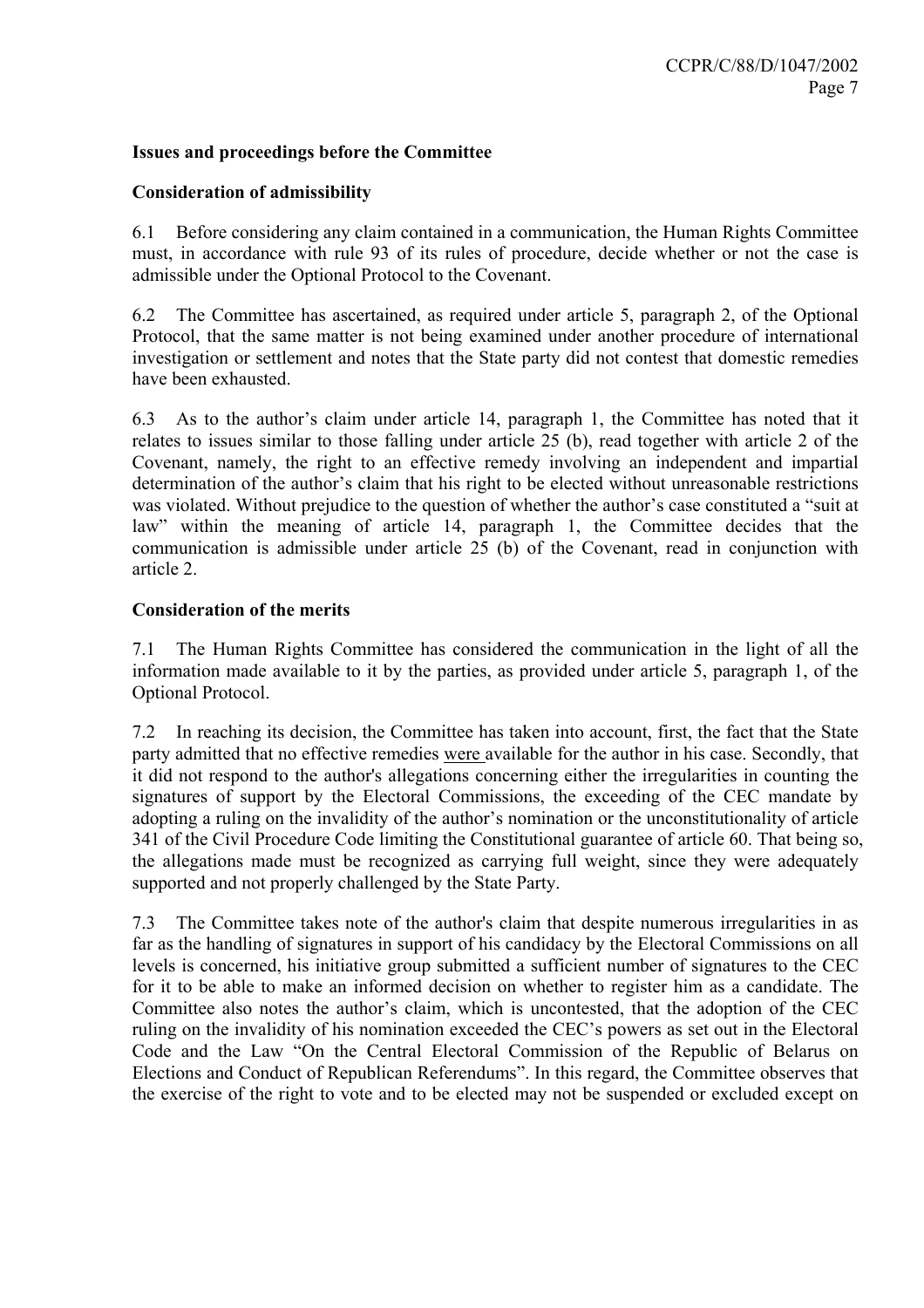## **Issues and proceedings before the Committee**

#### **Consideration of admissibility**

6.1 Before considering any claim contained in a communication, the Human Rights Committee must, in accordance with rule 93 of its rules of procedure, decide whether or not the case is admissible under the Optional Protocol to the Covenant.

6.2 The Committee has ascertained, as required under article 5, paragraph 2, of the Optional Protocol, that the same matter is not being examined under another procedure of international investigation or settlement and notes that the State party did not contest that domestic remedies have been exhausted.

6.3 As to the author's claim under article 14, paragraph 1, the Committee has noted that it relates to issues similar to those falling under article 25 (b), read together with article 2 of the Covenant, namely, the right to an effective remedy involving an independent and impartial determination of the author's claim that his right to be elected without unreasonable restrictions was violated. Without prejudice to the question of whether the author's case constituted a "suit at law" within the meaning of article 14, paragraph 1, the Committee decides that the communication is admissible under article 25 (b) of the Covenant, read in conjunction with article 2.

## **Consideration of the merits**

7.1 The Human Rights Committee has considered the communication in the light of all the information made available to it by the parties, as provided under article 5, paragraph 1, of the Optional Protocol.

7.2 In reaching its decision, the Committee has taken into account, first, the fact that the State party admitted that no effective remedies were available for the author in his case. Secondly, that it did not respond to the author's allegations concerning either the irregularities in counting the signatures of support by the Electoral Commissions, the exceeding of the CEC mandate by adopting a ruling on the invalidity of the author's nomination or the unconstitutionality of article 341 of the Civil Procedure Code limiting the Constitutional guarantee of article 60. That being so, the allegations made must be recognized as carrying full weight, since they were adequately supported and not properly challenged by the State Party.

7.3 The Committee takes note of the author's claim that despite numerous irregularities in as far as the handling of signatures in support of his candidacy by the Electoral Commissions on all levels is concerned, his initiative group submitted a sufficient number of signatures to the CEC for it to be able to make an informed decision on whether to register him as a candidate. The Committee also notes the author's claim, which is uncontested, that the adoption of the CEC ruling on the invalidity of his nomination exceeded the CEC's powers as set out in the Electoral Code and the Law "On the Central Electoral Commission of the Republic of Belarus on Elections and Conduct of Republican Referendums". In this regard, the Committee observes that the exercise of the right to vote and to be elected may not be suspended or excluded except on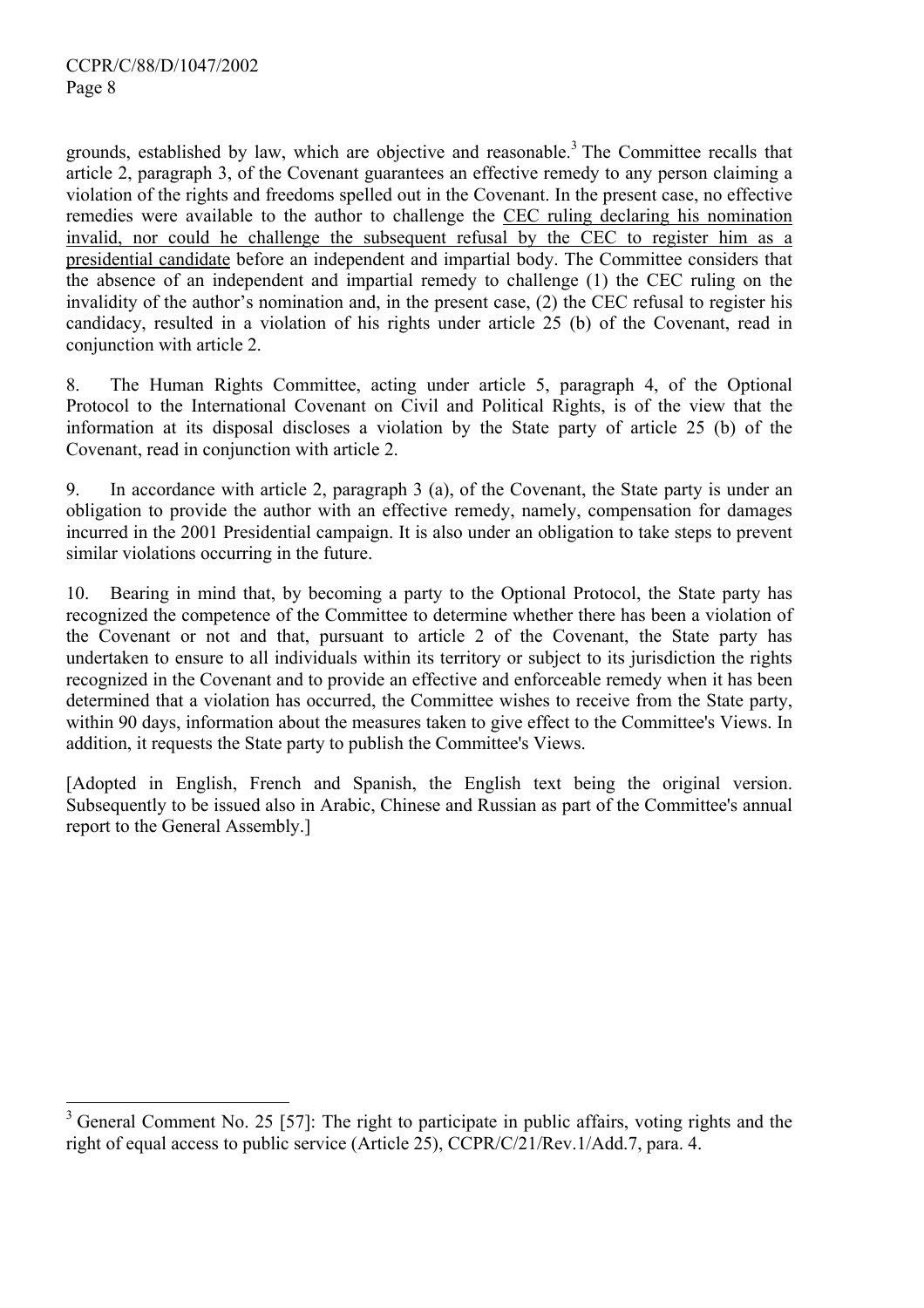$\overline{a}$ 

grounds, established by law, which are objective and reasonable.<sup>3</sup> The Committee recalls that article 2, paragraph 3, of the Covenant guarantees an effective remedy to any person claiming a violation of the rights and freedoms spelled out in the Covenant. In the present case, no effective remedies were available to the author to challenge the CEC ruling declaring his nomination invalid, nor could he challenge the subsequent refusal by the CEC to register him as a presidential candidate before an independent and impartial body. The Committee considers that the absence of an independent and impartial remedy to challenge (1) the CEC ruling on the invalidity of the author's nomination and, in the present case, (2) the CEC refusal to register his candidacy, resulted in a violation of his rights under article 25 (b) of the Covenant, read in conjunction with article 2.

8. The Human Rights Committee, acting under article 5, paragraph 4, of the Optional Protocol to the International Covenant on Civil and Political Rights, is of the view that the information at its disposal discloses a violation by the State party of article 25 (b) of the Covenant, read in conjunction with article 2.

9. In accordance with article 2, paragraph 3 (a), of the Covenant, the State party is under an obligation to provide the author with an effective remedy, namely, compensation for damages incurred in the 2001 Presidential campaign. It is also under an obligation to take steps to prevent similar violations occurring in the future.

10. Bearing in mind that, by becoming a party to the Optional Protocol, the State party has recognized the competence of the Committee to determine whether there has been a violation of the Covenant or not and that, pursuant to article 2 of the Covenant, the State party has undertaken to ensure to all individuals within its territory or subject to its jurisdiction the rights recognized in the Covenant and to provide an effective and enforceable remedy when it has been determined that a violation has occurred, the Committee wishes to receive from the State party, within 90 days, information about the measures taken to give effect to the Committee's Views. In addition, it requests the State party to publish the Committee's Views.

[Adopted in English, French and Spanish, the English text being the original version. Subsequently to be issued also in Arabic, Chinese and Russian as part of the Committee's annual report to the General Assembly.]

 $3$  General Comment No. 25 [57]: The right to participate in public affairs, voting rights and the right of equal access to public service (Article 25), CCPR/C/21/Rev.1/Add.7, para. 4.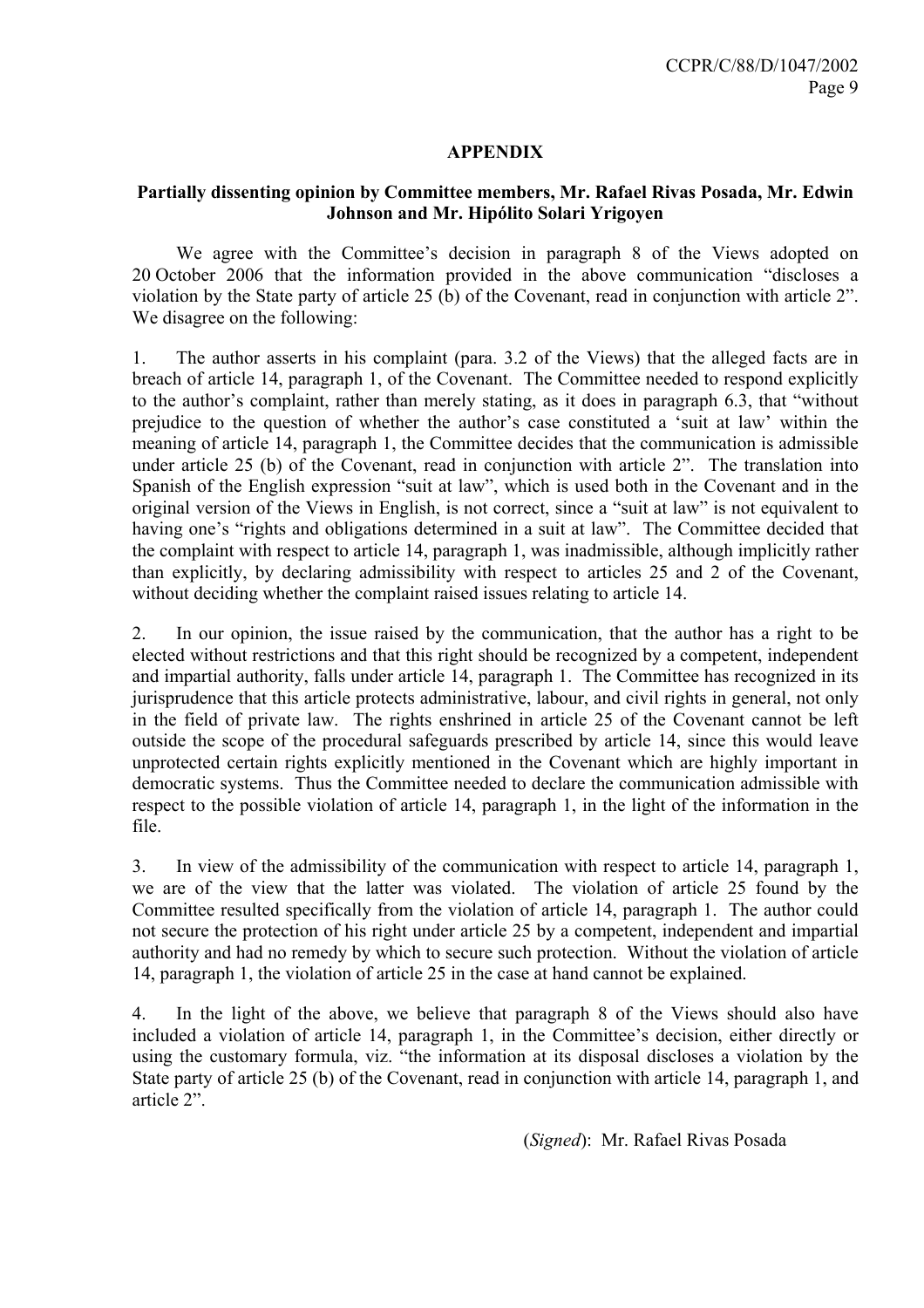## **APPENDIX**

# **Partially dissenting opinion by Committee members, Mr. Rafael Rivas Posada, Mr. Edwin Johnson and Mr. Hipólito Solari Yrigoyen**

 We agree with the Committee's decision in paragraph 8 of the Views adopted on 20 October 2006 that the information provided in the above communication "discloses a violation by the State party of article 25 (b) of the Covenant, read in conjunction with article 2". We disagree on the following:

1. The author asserts in his complaint (para. 3.2 of the Views) that the alleged facts are in breach of article 14, paragraph 1, of the Covenant. The Committee needed to respond explicitly to the author's complaint, rather than merely stating, as it does in paragraph 6.3, that "without prejudice to the question of whether the author's case constituted a 'suit at law' within the meaning of article 14, paragraph 1, the Committee decides that the communication is admissible under article 25 (b) of the Covenant, read in conjunction with article 2". The translation into Spanish of the English expression "suit at law", which is used both in the Covenant and in the original version of the Views in English, is not correct, since a "suit at law" is not equivalent to having one's "rights and obligations determined in a suit at law". The Committee decided that the complaint with respect to article 14, paragraph 1, was inadmissible, although implicitly rather than explicitly, by declaring admissibility with respect to articles 25 and 2 of the Covenant, without deciding whether the complaint raised issues relating to article 14.

2. In our opinion, the issue raised by the communication, that the author has a right to be elected without restrictions and that this right should be recognized by a competent, independent and impartial authority, falls under article 14, paragraph 1. The Committee has recognized in its jurisprudence that this article protects administrative, labour, and civil rights in general, not only in the field of private law. The rights enshrined in article 25 of the Covenant cannot be left outside the scope of the procedural safeguards prescribed by article 14, since this would leave unprotected certain rights explicitly mentioned in the Covenant which are highly important in democratic systems. Thus the Committee needed to declare the communication admissible with respect to the possible violation of article 14, paragraph 1, in the light of the information in the file.

3. In view of the admissibility of the communication with respect to article 14, paragraph 1, we are of the view that the latter was violated. The violation of article 25 found by the Committee resulted specifically from the violation of article 14, paragraph 1. The author could not secure the protection of his right under article 25 by a competent, independent and impartial authority and had no remedy by which to secure such protection. Without the violation of article 14, paragraph 1, the violation of article 25 in the case at hand cannot be explained.

4. In the light of the above, we believe that paragraph 8 of the Views should also have included a violation of article 14, paragraph 1, in the Committee's decision, either directly or using the customary formula, viz. "the information at its disposal discloses a violation by the State party of article 25 (b) of the Covenant, read in conjunction with article 14, paragraph 1, and article 2".

(*Signed*): Mr. Rafael Rivas Posada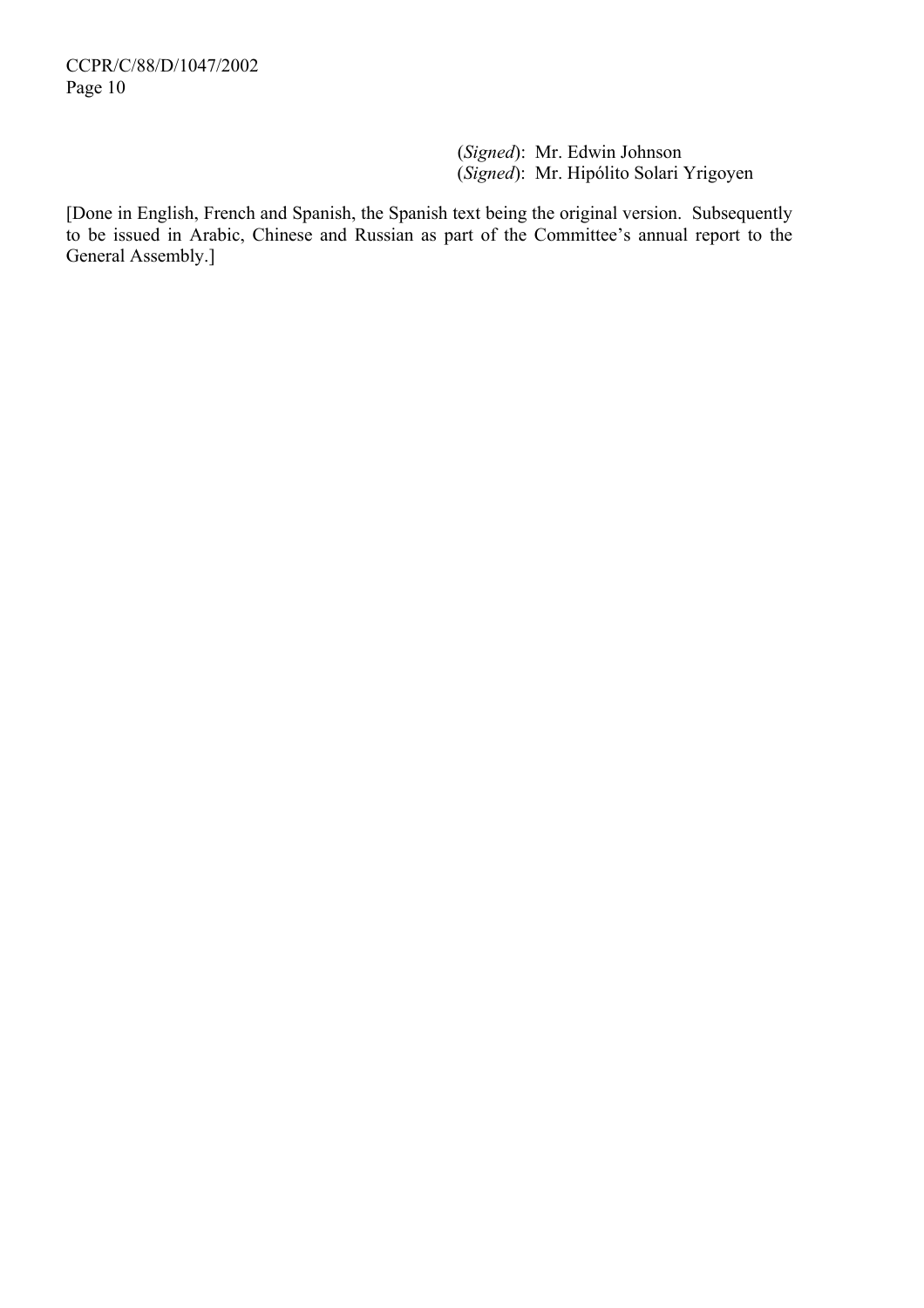(*Signed*): Mr. Edwin Johnson (*Signed*): Mr. Hipólito Solari Yrigoyen

[Done in English, French and Spanish, the Spanish text being the original version. Subsequently to be issued in Arabic, Chinese and Russian as part of the Committee's annual report to the General Assembly.]